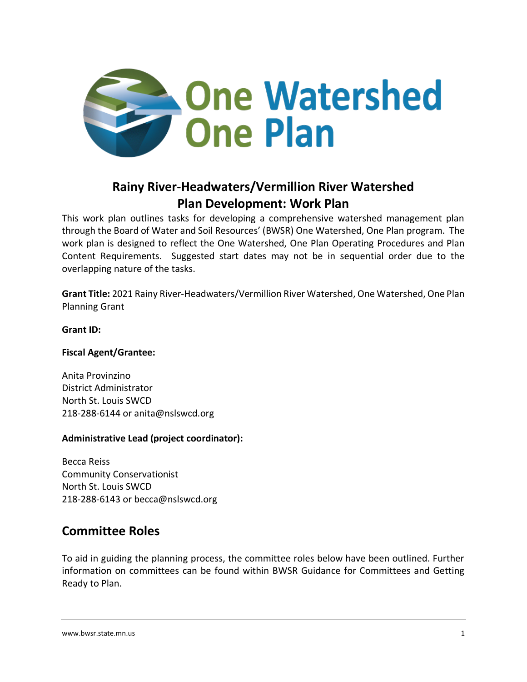

# **Rainy River-Headwaters/Vermillion River Watershed Plan Development: Work Plan**

This work plan outlines tasks for developing a comprehensive watershed management plan through the Board of Water and Soil Resources' (BWSR) One Watershed, One Plan program. The work plan is designed to reflect the One Watershed, One Plan Operating Procedures and Plan Content Requirements. Suggested start dates may not be in sequential order due to the overlapping nature of the tasks.

**Grant Title:** 2021 Rainy River-Headwaters/Vermillion River Watershed, One Watershed, One Plan Planning Grant

#### **Grant ID:**

#### **Fiscal Agent/Grantee:**

Anita Provinzino District Administrator North St. Louis SWCD 218-288-6144 or anita@nslswcd.org

#### **Administrative Lead (project coordinator):**

Becca Reiss Community Conservationist North St. Louis SWCD 218-288-6143 or becca@nslswcd.org

## **Committee Roles**

To aid in guiding the planning process, the committee roles below have been outlined. Further information on committees can be found within BWSR Guidance for Committees and Getting Ready to Plan.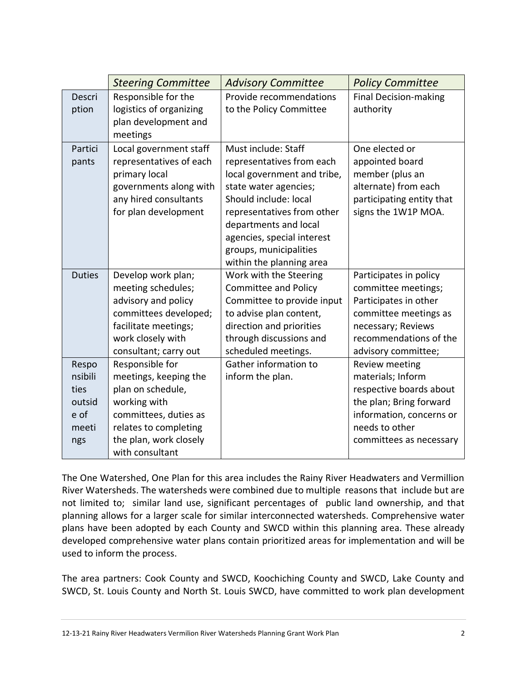|                                                            | <b>Steering Committee</b>                                                                                                                                                    | <b>Advisory Committee</b>                                                                                                                                                                                                                                                    | <b>Policy Committee</b>                                                                                                                                                |
|------------------------------------------------------------|------------------------------------------------------------------------------------------------------------------------------------------------------------------------------|------------------------------------------------------------------------------------------------------------------------------------------------------------------------------------------------------------------------------------------------------------------------------|------------------------------------------------------------------------------------------------------------------------------------------------------------------------|
| Descri<br>ption                                            | Responsible for the<br>logistics of organizing<br>plan development and<br>meetings                                                                                           | Provide recommendations<br>to the Policy Committee                                                                                                                                                                                                                           | <b>Final Decision-making</b><br>authority                                                                                                                              |
| Partici<br>pants                                           | Local government staff<br>representatives of each<br>primary local<br>governments along with<br>any hired consultants<br>for plan development                                | Must include: Staff<br>representatives from each<br>local government and tribe,<br>state water agencies;<br>Should include: local<br>representatives from other<br>departments and local<br>agencies, special interest<br>groups, municipalities<br>within the planning area | One elected or<br>appointed board<br>member (plus an<br>alternate) from each<br>participating entity that<br>signs the 1W1P MOA.                                       |
| <b>Duties</b>                                              | Develop work plan;<br>meeting schedules;<br>advisory and policy<br>committees developed;<br>facilitate meetings;<br>work closely with<br>consultant; carry out               | Work with the Steering<br><b>Committee and Policy</b><br>Committee to provide input<br>to advise plan content,<br>direction and priorities<br>through discussions and<br>scheduled meetings.                                                                                 | Participates in policy<br>committee meetings;<br>Participates in other<br>committee meetings as<br>necessary; Reviews<br>recommendations of the<br>advisory committee; |
| Respo<br>nsibili<br>ties<br>outsid<br>e of<br>meeti<br>ngs | Responsible for<br>meetings, keeping the<br>plan on schedule,<br>working with<br>committees, duties as<br>relates to completing<br>the plan, work closely<br>with consultant | Gather information to<br>inform the plan.                                                                                                                                                                                                                                    | Review meeting<br>materials; Inform<br>respective boards about<br>the plan; Bring forward<br>information, concerns or<br>needs to other<br>committees as necessary     |

The One Watershed, One Plan for this area includes the Rainy River Headwaters and Vermillion River Watersheds. The watersheds were combined due to multiple reasons that include but are not limited to; similar land use, significant percentages of public land ownership, and that planning allows for a larger scale for similar interconnected watersheds. Comprehensive water plans have been adopted by each County and SWCD within this planning area. These already developed comprehensive water plans contain prioritized areas for implementation and will be used to inform the process.

The area partners: Cook County and SWCD, Koochiching County and SWCD, Lake County and SWCD, St. Louis County and North St. Louis SWCD, have committed to work plan development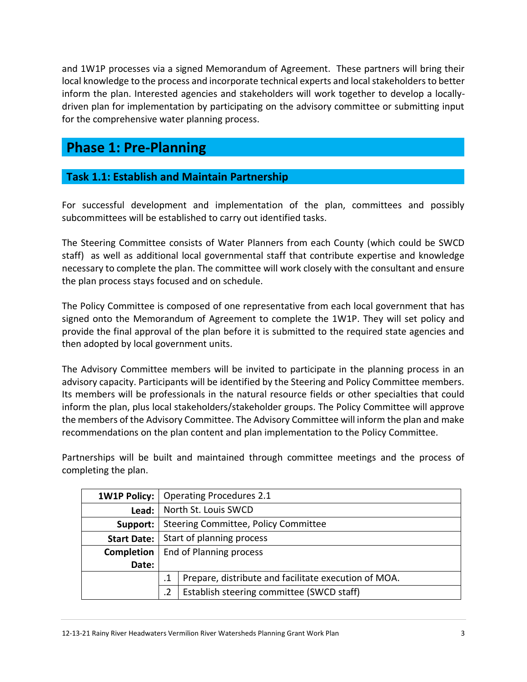and 1W1P processes via a signed Memorandum of Agreement. These partners will bring their local knowledge to the process and incorporate technical experts and local stakeholders to better inform the plan. Interested agencies and stakeholders will work together to develop a locallydriven plan for implementation by participating on the advisory committee or submitting input for the comprehensive water planning process.

# **Phase 1: Pre-Planning**

## **Task 1.1: Establish and Maintain Partnership**

For successful development and implementation of the plan, committees and possibly subcommittees will be established to carry out identified tasks.

The Steering Committee consists of Water Planners from each County (which could be SWCD staff) as well as additional local governmental staff that contribute expertise and knowledge necessary to complete the plan. The committee will work closely with the consultant and ensure the plan process stays focused and on schedule.

The Policy Committee is composed of one representative from each local government that has signed onto the Memorandum of Agreement to complete the 1W1P. They will set policy and provide the final approval of the plan before it is submitted to the required state agencies and then adopted by local government units.

The Advisory Committee members will be invited to participate in the planning process in an advisory capacity. Participants will be identified by the Steering and Policy Committee members. Its members will be professionals in the natural resource fields or other specialties that could inform the plan, plus local stakeholders/stakeholder groups. The Policy Committee will approve the members of the Advisory Committee. The Advisory Committee will inform the plan and make recommendations on the plan content and plan implementation to the Policy Committee.

Partnerships will be built and maintained through committee meetings and the process of completing the plan.

| <b>1W1P Policy:</b> |                                      | <b>Operating Procedures 2.1</b>                      |  |
|---------------------|--------------------------------------|------------------------------------------------------|--|
| Lead:               |                                      | North St. Louis SWCD                                 |  |
| Support:            | Steering Committee, Policy Committee |                                                      |  |
| <b>Start Date:</b>  | Start of planning process            |                                                      |  |
| Completion          | End of Planning process              |                                                      |  |
| Date:               |                                      |                                                      |  |
|                     |                                      | Prepare, distribute and facilitate execution of MOA. |  |
|                     |                                      | Establish steering committee (SWCD staff)            |  |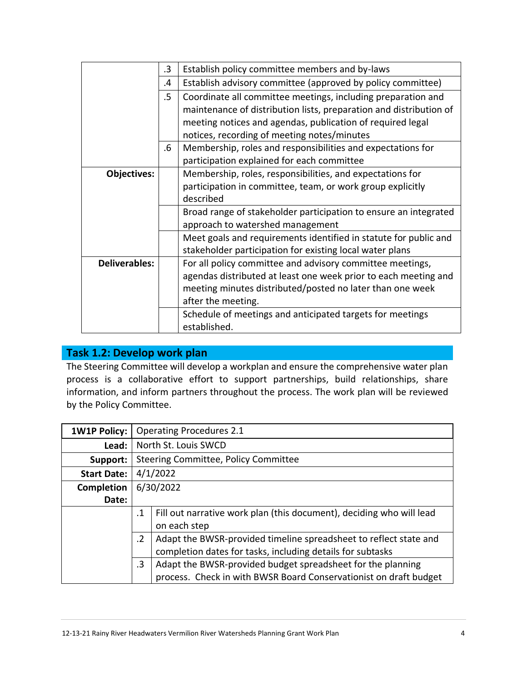|                      | .3 | Establish policy committee members and by-laws                     |
|----------------------|----|--------------------------------------------------------------------|
|                      | .4 | Establish advisory committee (approved by policy committee)        |
|                      | .5 | Coordinate all committee meetings, including preparation and       |
|                      |    | maintenance of distribution lists, preparation and distribution of |
|                      |    | meeting notices and agendas, publication of required legal         |
|                      |    | notices, recording of meeting notes/minutes                        |
|                      | .6 | Membership, roles and responsibilities and expectations for        |
|                      |    | participation explained for each committee                         |
| Objectives:          |    | Membership, roles, responsibilities, and expectations for          |
|                      |    | participation in committee, team, or work group explicitly         |
|                      |    | described                                                          |
|                      |    | Broad range of stakeholder participation to ensure an integrated   |
|                      |    | approach to watershed management                                   |
|                      |    | Meet goals and requirements identified in statute for public and   |
|                      |    | stakeholder participation for existing local water plans           |
| <b>Deliverables:</b> |    | For all policy committee and advisory committee meetings,          |
|                      |    | agendas distributed at least one week prior to each meeting and    |
|                      |    | meeting minutes distributed/posted no later than one week          |
|                      |    | after the meeting.                                                 |
|                      |    | Schedule of meetings and anticipated targets for meetings          |
|                      |    | established.                                                       |

## **Task 1.2: Develop work plan**

The Steering Committee will develop a workplan and ensure the comprehensive water plan process is a collaborative effort to support partnerships, build relationships, share information, and inform partners throughout the process. The work plan will be reviewed by the Policy Committee.

| <b>1W1P Policy:</b> | <b>Operating Procedures 2.1</b>                                                   |  |  |
|---------------------|-----------------------------------------------------------------------------------|--|--|
| Lead:               | North St. Louis SWCD                                                              |  |  |
| Support:            | Steering Committee, Policy Committee                                              |  |  |
| <b>Start Date:</b>  | 4/1/2022                                                                          |  |  |
| <b>Completion</b>   | 6/30/2022                                                                         |  |  |
| Date:               |                                                                                   |  |  |
|                     | Fill out narrative work plan (this document), deciding who will lead<br>$\cdot$ 1 |  |  |
|                     | on each step                                                                      |  |  |
|                     | Adapt the BWSR-provided timeline spreadsheet to reflect state and<br>$\cdot$ .2   |  |  |
|                     | completion dates for tasks, including details for subtasks                        |  |  |
|                     | Adapt the BWSR-provided budget spreadsheet for the planning<br>$\cdot$ 3          |  |  |
|                     | process. Check in with BWSR Board Conservationist on draft budget                 |  |  |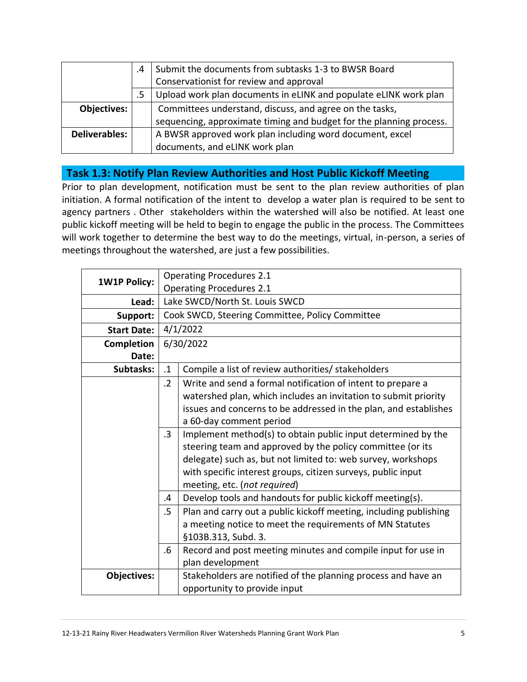|                      | .4 | Submit the documents from subtasks 1-3 to BWSR Board                |
|----------------------|----|---------------------------------------------------------------------|
|                      |    | Conservationist for review and approval                             |
|                      | .5 | Upload work plan documents in eLINK and populate eLINK work plan    |
| Objectives:          |    | Committees understand, discuss, and agree on the tasks,             |
|                      |    | sequencing, approximate timing and budget for the planning process. |
| <b>Deliverables:</b> |    | A BWSR approved work plan including word document, excel            |
|                      |    | documents, and eLINK work plan                                      |

#### **Task 1.3: Notify Plan Review Authorities and Host Public Kickoff Meeting**

Prior to plan development, notification must be sent to the plan review authorities of plan initiation. A formal notification of the intent to develop a water plan is required to be sent to agency partners . Other stakeholders within the watershed will also be notified. At least one public kickoff meeting will be held to begin to engage the public in the process. The Committees will work together to determine the best way to do the meetings, virtual, in-person, a series of meetings throughout the watershed, are just a few possibilities.

| <b>1W1P Policy:</b> |                                 | <b>Operating Procedures 2.1</b>                                   |
|---------------------|---------------------------------|-------------------------------------------------------------------|
|                     | <b>Operating Procedures 2.1</b> |                                                                   |
| Lead:               |                                 | Lake SWCD/North St. Louis SWCD                                    |
| Support:            |                                 | Cook SWCD, Steering Committee, Policy Committee                   |
| <b>Start Date:</b>  |                                 | 4/1/2022                                                          |
| Completion          |                                 | 6/30/2022                                                         |
| Date:               |                                 |                                                                   |
| Subtasks:           | $\cdot$ 1                       | Compile a list of review authorities/ stakeholders                |
|                     | $\cdot$ .2                      | Write and send a formal notification of intent to prepare a       |
|                     |                                 | watershed plan, which includes an invitation to submit priority   |
|                     |                                 | issues and concerns to be addressed in the plan, and establishes  |
|                     |                                 | a 60-day comment period                                           |
|                     | $\cdot$ 3                       | Implement method(s) to obtain public input determined by the      |
|                     |                                 | steering team and approved by the policy committee (or its        |
|                     |                                 | delegate) such as, but not limited to: web survey, workshops      |
|                     |                                 | with specific interest groups, citizen surveys, public input      |
|                     |                                 | meeting, etc. (not required)                                      |
|                     | .4                              | Develop tools and handouts for public kickoff meeting(s).         |
|                     | .5                              | Plan and carry out a public kickoff meeting, including publishing |
|                     |                                 | a meeting notice to meet the requirements of MN Statutes          |
|                     |                                 | §103B.313, Subd. 3.                                               |
|                     | .6                              | Record and post meeting minutes and compile input for use in      |
|                     |                                 | plan development                                                  |
| <b>Objectives:</b>  |                                 | Stakeholders are notified of the planning process and have an     |
|                     |                                 | opportunity to provide input                                      |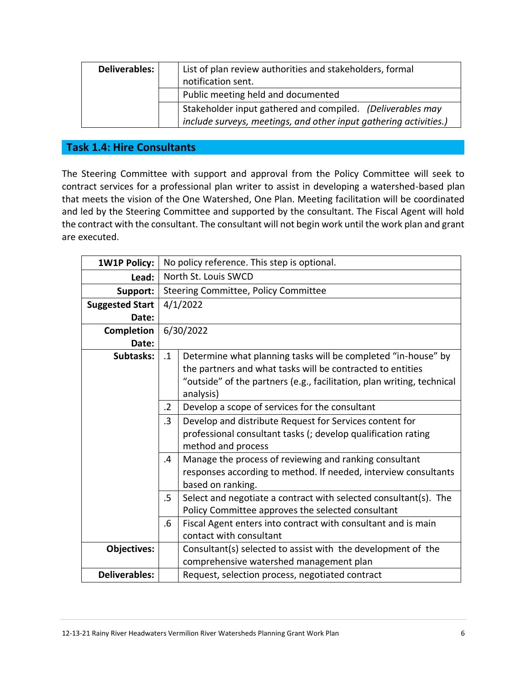| Deliverables: | List of plan review authorities and stakeholders, formal          |
|---------------|-------------------------------------------------------------------|
|               | notification sent.                                                |
|               | Public meeting held and documented                                |
|               | Stakeholder input gathered and compiled. (Deliverables may        |
|               | include surveys, meetings, and other input gathering activities.) |

#### **Task 1.4: Hire Consultants**

The Steering Committee with support and approval from the Policy Committee will seek to contract services for a professional plan writer to assist in developing a watershed-based plan that meets the vision of the One Watershed, One Plan. Meeting facilitation will be coordinated and led by the Steering Committee and supported by the consultant. The Fiscal Agent will hold the contract with the consultant. The consultant will not begin work until the work plan and grant are executed.

| <b>1W1P Policy:</b>    |            | No policy reference. This step is optional.                            |  |  |
|------------------------|------------|------------------------------------------------------------------------|--|--|
| Lead:                  |            | North St. Louis SWCD                                                   |  |  |
| Support:               |            | Steering Committee, Policy Committee                                   |  |  |
| <b>Suggested Start</b> |            | 4/1/2022                                                               |  |  |
| Date:                  |            |                                                                        |  |  |
| Completion             |            | 6/30/2022                                                              |  |  |
| Date:                  |            |                                                                        |  |  |
| Subtasks:              | $\cdot$ 1  | Determine what planning tasks will be completed "in-house" by          |  |  |
|                        |            | the partners and what tasks will be contracted to entities             |  |  |
|                        |            | "outside" of the partners (e.g., facilitation, plan writing, technical |  |  |
|                        |            | analysis)                                                              |  |  |
|                        | $\cdot$ .2 | Develop a scope of services for the consultant                         |  |  |
|                        | $\cdot$ 3  | Develop and distribute Request for Services content for                |  |  |
|                        |            | professional consultant tasks (; develop qualification rating          |  |  |
|                        |            | method and process                                                     |  |  |
|                        | .4         | Manage the process of reviewing and ranking consultant                 |  |  |
|                        |            | responses according to method. If needed, interview consultants        |  |  |
|                        |            | based on ranking.                                                      |  |  |
|                        | .5         | Select and negotiate a contract with selected consultant(s). The       |  |  |
|                        |            | Policy Committee approves the selected consultant                      |  |  |
|                        | .6         | Fiscal Agent enters into contract with consultant and is main          |  |  |
|                        |            | contact with consultant                                                |  |  |
| <b>Objectives:</b>     |            | Consultant(s) selected to assist with the development of the           |  |  |
|                        |            | comprehensive watershed management plan                                |  |  |
| <b>Deliverables:</b>   |            | Request, selection process, negotiated contract                        |  |  |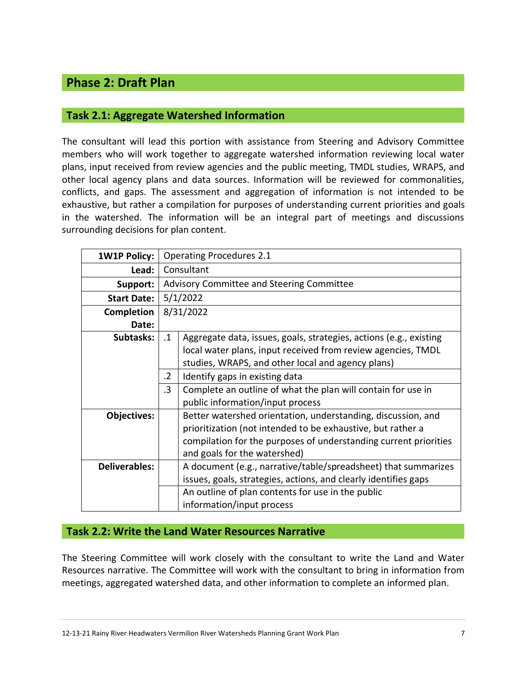## **Phase 2: Draft Plan**

#### **Task 2.1: Aggregate Watershed Information**

The consultant will lead this portion with assistance from Steering and Advisory Committee members who will work together to aggregate watershed information reviewing local water plans, input received from review agencies and the public meeting, TMDL studies, WRAPS, and other local agency plans and data sources. Information will be reviewed for commonalities, conflicts, and gaps. The assessment and aggregation of information is not intended to be exhaustive, but rather a compilation for purposes of understanding current priorities and goals in the watershed. The information will be an integral part of meetings and discussions surrounding decisions for plan content.

| <b>1W1P Policy:</b>  |            | <b>Operating Procedures 2.1</b>                                    |  |  |
|----------------------|------------|--------------------------------------------------------------------|--|--|
| Lead:                |            | Consultant                                                         |  |  |
| Support:             |            | Advisory Committee and Steering Committee                          |  |  |
| <b>Start Date:</b>   |            | 5/1/2022                                                           |  |  |
| Completion           |            | 8/31/2022                                                          |  |  |
| Date:                |            |                                                                    |  |  |
| Subtasks:            | $\cdot$ 1  | Aggregate data, issues, goals, strategies, actions (e.g., existing |  |  |
|                      |            | local water plans, input received from review agencies, TMDL       |  |  |
|                      |            | studies, WRAPS, and other local and agency plans)                  |  |  |
|                      | $\cdot$ .2 | Identify gaps in existing data                                     |  |  |
|                      | $\cdot$ 3  | Complete an outline of what the plan will contain for use in       |  |  |
|                      |            | public information/input process                                   |  |  |
| Objectives:          |            | Better watershed orientation, understanding, discussion, and       |  |  |
|                      |            | prioritization (not intended to be exhaustive, but rather a        |  |  |
|                      |            | compilation for the purposes of understanding current priorities   |  |  |
|                      |            | and goals for the watershed)                                       |  |  |
| <b>Deliverables:</b> |            | A document (e.g., narrative/table/spreadsheet) that summarizes     |  |  |
|                      |            | issues, goals, strategies, actions, and clearly identifies gaps    |  |  |
|                      |            | An outline of plan contents for use in the public                  |  |  |
|                      |            | information/input process                                          |  |  |

#### **Task 2.2: Write the Land Water Resources Narrative**

The Steering Committee will work closely with the consultant to write the Land and Water Resources narrative. The Committee will work with the consultant to bring in information from meetings, aggregated watershed data, and other information to complete an informed plan.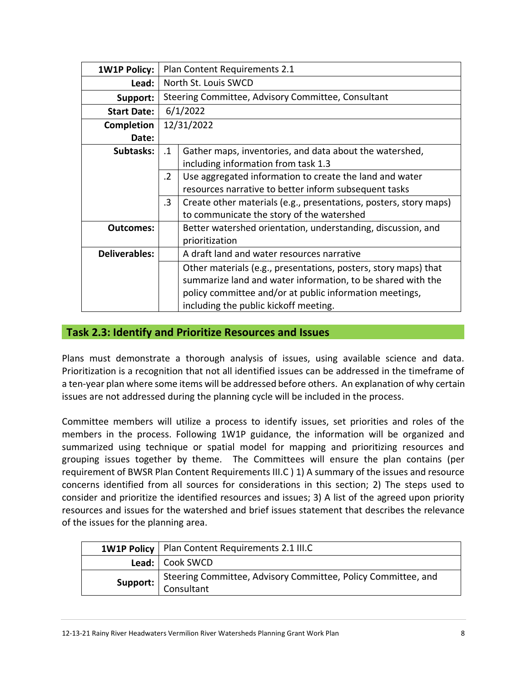| <b>1W1P Policy:</b>  |           | Plan Content Requirements 2.1                                     |  |  |
|----------------------|-----------|-------------------------------------------------------------------|--|--|
| Lead:                |           | North St. Louis SWCD                                              |  |  |
| Support:             |           | Steering Committee, Advisory Committee, Consultant                |  |  |
| <b>Start Date:</b>   |           | 6/1/2022                                                          |  |  |
| <b>Completion</b>    |           | 12/31/2022                                                        |  |  |
| Date:                |           |                                                                   |  |  |
| Subtasks:            | $\cdot$ 1 | Gather maps, inventories, and data about the watershed,           |  |  |
|                      |           | including information from task 1.3                               |  |  |
|                      | .2        | Use aggregated information to create the land and water           |  |  |
|                      |           | resources narrative to better inform subsequent tasks             |  |  |
|                      | $\cdot$ 3 | Create other materials (e.g., presentations, posters, story maps) |  |  |
|                      |           | to communicate the story of the watershed                         |  |  |
| Outcomes:            |           | Better watershed orientation, understanding, discussion, and      |  |  |
|                      |           | prioritization                                                    |  |  |
| <b>Deliverables:</b> |           | A draft land and water resources narrative                        |  |  |
|                      |           | Other materials (e.g., presentations, posters, story maps) that   |  |  |
|                      |           | summarize land and water information, to be shared with the       |  |  |
|                      |           | policy committee and/or at public information meetings,           |  |  |
|                      |           | including the public kickoff meeting.                             |  |  |

#### **Task 2.3: Identify and Prioritize Resources and Issues**

Plans must demonstrate a thorough analysis of issues, using available science and data. Prioritization is a recognition that not all identified issues can be addressed in the timeframe of a ten-year plan where some items will be addressed before others. An explanation of why certain issues are not addressed during the planning cycle will be included in the process.

Committee members will utilize a process to identify issues, set priorities and roles of the members in the process. Following 1W1P guidance, the information will be organized and summarized using technique or spatial model for mapping and prioritizing resources and grouping issues together by theme. The Committees will ensure the plan contains (per requirement of BWSR Plan Content Requirements III.C ) 1) A summary of the issues and resource concerns identified from all sources for considerations in this section; 2) The steps used to consider and prioritize the identified resources and issues; 3) A list of the agreed upon priority resources and issues for the watershed and brief issues statement that describes the relevance of the issues for the planning area.

| 1W1P Policy   Plan Content Requirements 2.1 III.C                                           |  |
|---------------------------------------------------------------------------------------------|--|
| Lead:   Cook SWCD                                                                           |  |
| <b>Support:</b> Steering Committee, Advisory Committee, Policy Committee, and<br>Consultant |  |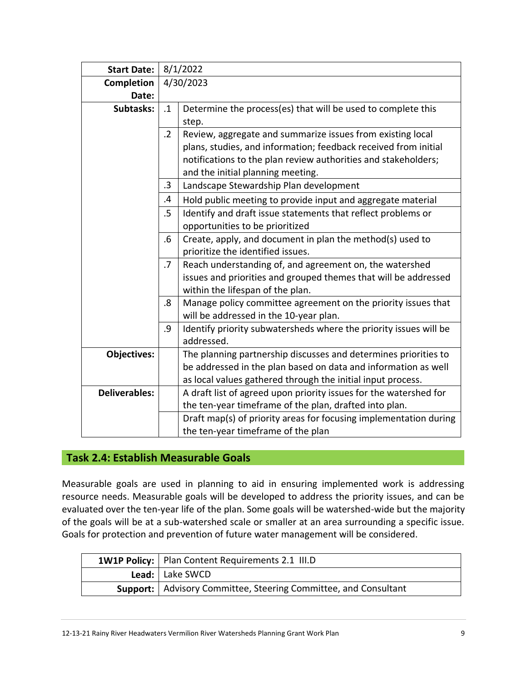| <b>Start Date:</b>   |            | 8/1/2022                                                          |  |
|----------------------|------------|-------------------------------------------------------------------|--|
| <b>Completion</b>    |            | 4/30/2023                                                         |  |
| Date:                |            |                                                                   |  |
| Subtasks:            | $\cdot$ 1  | Determine the process(es) that will be used to complete this      |  |
|                      |            | step.                                                             |  |
|                      | $\cdot$ .2 | Review, aggregate and summarize issues from existing local        |  |
|                      |            | plans, studies, and information; feedback received from initial   |  |
|                      |            | notifications to the plan review authorities and stakeholders;    |  |
|                      |            | and the initial planning meeting.                                 |  |
|                      | $\cdot$ 3  | Landscape Stewardship Plan development                            |  |
|                      | .4         | Hold public meeting to provide input and aggregate material       |  |
|                      | .5         | Identify and draft issue statements that reflect problems or      |  |
|                      |            | opportunities to be prioritized                                   |  |
|                      | .6         | Create, apply, and document in plan the method(s) used to         |  |
|                      |            | prioritize the identified issues.                                 |  |
|                      | .7         | Reach understanding of, and agreement on, the watershed           |  |
|                      |            | issues and priorities and grouped themes that will be addressed   |  |
|                      |            | within the lifespan of the plan.                                  |  |
|                      | .8         | Manage policy committee agreement on the priority issues that     |  |
|                      |            | will be addressed in the 10-year plan.                            |  |
|                      | .9         | Identify priority subwatersheds where the priority issues will be |  |
|                      |            | addressed.                                                        |  |
| <b>Objectives:</b>   |            | The planning partnership discusses and determines priorities to   |  |
|                      |            | be addressed in the plan based on data and information as well    |  |
|                      |            | as local values gathered through the initial input process.       |  |
| <b>Deliverables:</b> |            | A draft list of agreed upon priority issues for the watershed for |  |
|                      |            | the ten-year timeframe of the plan, drafted into plan.            |  |
|                      |            | Draft map(s) of priority areas for focusing implementation during |  |
|                      |            | the ten-year timeframe of the plan                                |  |

#### **Task 2.4: Establish Measurable Goals**

Measurable goals are used in planning to aid in ensuring implemented work is addressing resource needs. Measurable goals will be developed to address the priority issues, and can be evaluated over the ten-year life of the plan. Some goals will be watershed-wide but the majority of the goals will be at a sub-watershed scale or smaller at an area surrounding a specific issue. Goals for protection and prevention of future water management will be considered.

| 1W1P Policy:   Plan Content Requirements 2.1 III.D                     |  |  |
|------------------------------------------------------------------------|--|--|
| Lead:   Lake SWCD                                                      |  |  |
| <b>Support:</b> Advisory Committee, Steering Committee, and Consultant |  |  |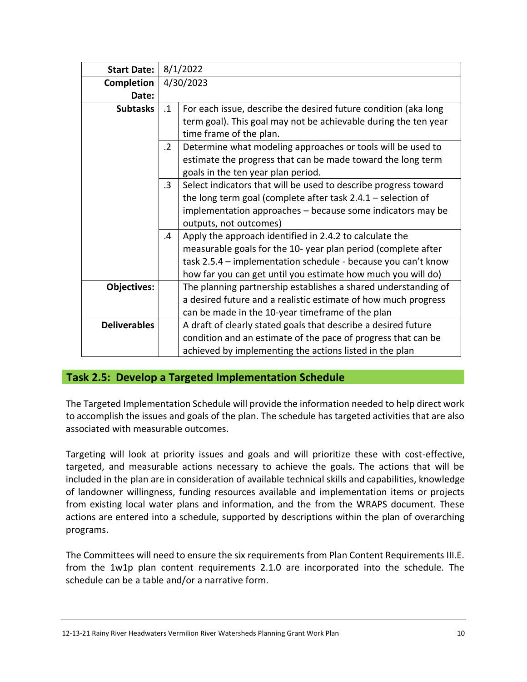| <b>Start Date:</b>  |            | 8/1/2022                                                        |  |  |
|---------------------|------------|-----------------------------------------------------------------|--|--|
| <b>Completion</b>   |            | 4/30/2023                                                       |  |  |
| Date:               |            |                                                                 |  |  |
| <b>Subtasks</b>     | $\cdot$ 1  | For each issue, describe the desired future condition (aka long |  |  |
|                     |            | term goal). This goal may not be achievable during the ten year |  |  |
|                     |            | time frame of the plan.                                         |  |  |
|                     | $\cdot$ .2 | Determine what modeling approaches or tools will be used to     |  |  |
|                     |            | estimate the progress that can be made toward the long term     |  |  |
|                     |            | goals in the ten year plan period.                              |  |  |
|                     | $\cdot$ 3  | Select indicators that will be used to describe progress toward |  |  |
|                     |            | the long term goal (complete after task $2.4.1$ – selection of  |  |  |
|                     |            | implementation approaches - because some indicators may be      |  |  |
|                     |            | outputs, not outcomes)                                          |  |  |
|                     | $\cdot$    | Apply the approach identified in 2.4.2 to calculate the         |  |  |
|                     |            | measurable goals for the 10-year plan period (complete after    |  |  |
|                     |            | task 2.5.4 – implementation schedule - because you can't know   |  |  |
|                     |            | how far you can get until you estimate how much you will do)    |  |  |
| <b>Objectives:</b>  |            | The planning partnership establishes a shared understanding of  |  |  |
|                     |            | a desired future and a realistic estimate of how much progress  |  |  |
|                     |            | can be made in the 10-year timeframe of the plan                |  |  |
| <b>Deliverables</b> |            | A draft of clearly stated goals that describe a desired future  |  |  |
|                     |            | condition and an estimate of the pace of progress that can be   |  |  |
|                     |            | achieved by implementing the actions listed in the plan         |  |  |

#### **Task 2.5: Develop a Targeted Implementation Schedule**

The Targeted Implementation Schedule will provide the information needed to help direct work to accomplish the issues and goals of the plan. The schedule has targeted activities that are also associated with measurable outcomes.

Targeting will look at priority issues and goals and will prioritize these with cost-effective, targeted, and measurable actions necessary to achieve the goals. The actions that will be included in the plan are in consideration of available technical skills and capabilities, knowledge of landowner willingness, funding resources available and implementation items or projects from existing local water plans and information, and the from the WRAPS document. These actions are entered into a schedule, supported by descriptions within the plan of overarching programs.

The Committees will need to ensure the six requirements from Plan Content Requirements III.E. from the 1w1p plan content requirements 2.1.0 are incorporated into the schedule. The schedule can be a table and/or a narrative form.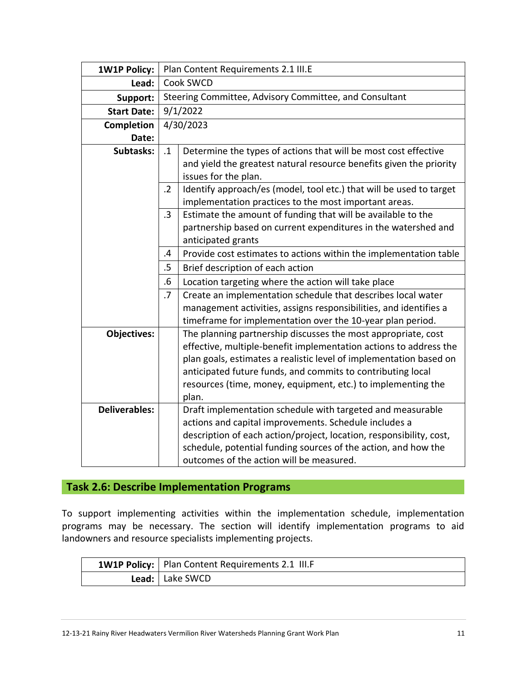| <b>1W1P Policy:</b>  |            | Plan Content Requirements 2.1 III.E                                                                                                                                                                                                                                                                                                              |  |  |
|----------------------|------------|--------------------------------------------------------------------------------------------------------------------------------------------------------------------------------------------------------------------------------------------------------------------------------------------------------------------------------------------------|--|--|
| Lead:                |            | Cook SWCD                                                                                                                                                                                                                                                                                                                                        |  |  |
| Support:             |            | Steering Committee, Advisory Committee, and Consultant                                                                                                                                                                                                                                                                                           |  |  |
| <b>Start Date:</b>   |            | 9/1/2022                                                                                                                                                                                                                                                                                                                                         |  |  |
| <b>Completion</b>    |            | 4/30/2023                                                                                                                                                                                                                                                                                                                                        |  |  |
| Date:                |            |                                                                                                                                                                                                                                                                                                                                                  |  |  |
| Subtasks:            | $\cdot$ 1  | Determine the types of actions that will be most cost effective                                                                                                                                                                                                                                                                                  |  |  |
|                      |            | and yield the greatest natural resource benefits given the priority<br>issues for the plan.                                                                                                                                                                                                                                                      |  |  |
|                      | $\cdot$ .2 | Identify approach/es (model, tool etc.) that will be used to target<br>implementation practices to the most important areas.                                                                                                                                                                                                                     |  |  |
|                      | $.3\,$     | Estimate the amount of funding that will be available to the<br>partnership based on current expenditures in the watershed and<br>anticipated grants                                                                                                                                                                                             |  |  |
|                      | .4         | Provide cost estimates to actions within the implementation table                                                                                                                                                                                                                                                                                |  |  |
|                      | .5         | Brief description of each action                                                                                                                                                                                                                                                                                                                 |  |  |
|                      | .6         | Location targeting where the action will take place                                                                                                                                                                                                                                                                                              |  |  |
|                      | .7         | Create an implementation schedule that describes local water                                                                                                                                                                                                                                                                                     |  |  |
|                      |            | management activities, assigns responsibilities, and identifies a<br>timeframe for implementation over the 10-year plan period.                                                                                                                                                                                                                  |  |  |
| <b>Objectives:</b>   |            | The planning partnership discusses the most appropriate, cost<br>effective, multiple-benefit implementation actions to address the<br>plan goals, estimates a realistic level of implementation based on<br>anticipated future funds, and commits to contributing local<br>resources (time, money, equipment, etc.) to implementing the<br>plan. |  |  |
| <b>Deliverables:</b> |            | Draft implementation schedule with targeted and measurable<br>actions and capital improvements. Schedule includes a<br>description of each action/project, location, responsibility, cost,<br>schedule, potential funding sources of the action, and how the<br>outcomes of the action will be measured.                                         |  |  |

## **Task 2.6: Describe Implementation Programs**

To support implementing activities within the implementation schedule, implementation programs may be necessary. The section will identify implementation programs to aid landowners and resource specialists implementing projects.

| 1W1P Policy:   Plan Content Requirements 2.1 III.F |
|----------------------------------------------------|
| Lead:   Lake SWCD                                  |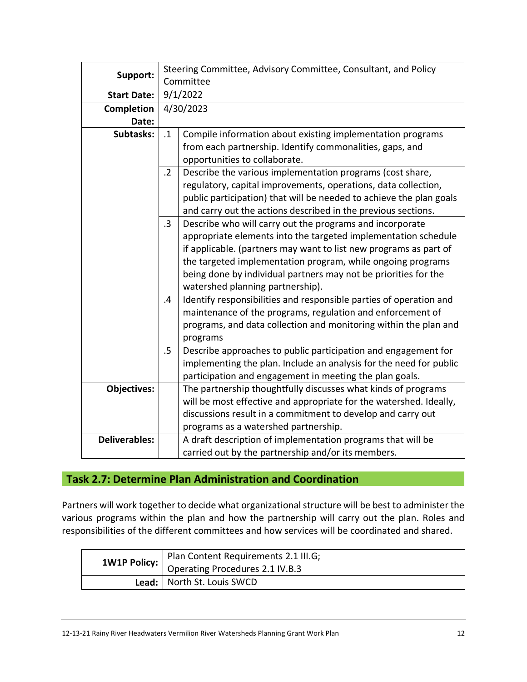| Steering Committee, Advisory Committee, Consultant, and Policy<br>Committee |                                                                     |  |  |  |
|-----------------------------------------------------------------------------|---------------------------------------------------------------------|--|--|--|
|                                                                             | 9/1/2022                                                            |  |  |  |
|                                                                             |                                                                     |  |  |  |
|                                                                             | 4/30/2023                                                           |  |  |  |
|                                                                             |                                                                     |  |  |  |
| $\cdot$ 1                                                                   | Compile information about existing implementation programs          |  |  |  |
|                                                                             | from each partnership. Identify commonalities, gaps, and            |  |  |  |
|                                                                             | opportunities to collaborate.                                       |  |  |  |
| $\cdot$ .2                                                                  | Describe the various implementation programs (cost share,           |  |  |  |
|                                                                             | regulatory, capital improvements, operations, data collection,      |  |  |  |
|                                                                             | public participation) that will be needed to achieve the plan goals |  |  |  |
|                                                                             | and carry out the actions described in the previous sections.       |  |  |  |
| $\cdot$ 3                                                                   | Describe who will carry out the programs and incorporate            |  |  |  |
|                                                                             | appropriate elements into the targeted implementation schedule      |  |  |  |
|                                                                             | if applicable. (partners may want to list new programs as part of   |  |  |  |
|                                                                             | the targeted implementation program, while ongoing programs         |  |  |  |
|                                                                             | being done by individual partners may not be priorities for the     |  |  |  |
|                                                                             | watershed planning partnership).                                    |  |  |  |
| .4                                                                          | Identify responsibilities and responsible parties of operation and  |  |  |  |
|                                                                             | maintenance of the programs, regulation and enforcement of          |  |  |  |
|                                                                             | programs, and data collection and monitoring within the plan and    |  |  |  |
|                                                                             | programs                                                            |  |  |  |
| $.5\,$                                                                      | Describe approaches to public participation and engagement for      |  |  |  |
|                                                                             | implementing the plan. Include an analysis for the need for public  |  |  |  |
|                                                                             | participation and engagement in meeting the plan goals.             |  |  |  |
|                                                                             | The partnership thoughtfully discusses what kinds of programs       |  |  |  |
|                                                                             | will be most effective and appropriate for the watershed. Ideally,  |  |  |  |
|                                                                             | discussions result in a commitment to develop and carry out         |  |  |  |
|                                                                             | programs as a watershed partnership.                                |  |  |  |
|                                                                             | A draft description of implementation programs that will be         |  |  |  |
|                                                                             | carried out by the partnership and/or its members.                  |  |  |  |
|                                                                             |                                                                     |  |  |  |

#### **Task 2.7: Determine Plan Administration and Coordination**

Partners will work together to decide what organizational structure will be best to administer the various programs within the plan and how the partnership will carry out the plan. Roles and responsibilities of the different committees and how services will be coordinated and shared.

|                              | Plan Content Requirements 2.1 III.G;                  |
|------------------------------|-------------------------------------------------------|
|                              | <b>1W1P Policy:</b>   Operating Procedures 2.1 IV.B.3 |
| Lead:   North St. Louis SWCD |                                                       |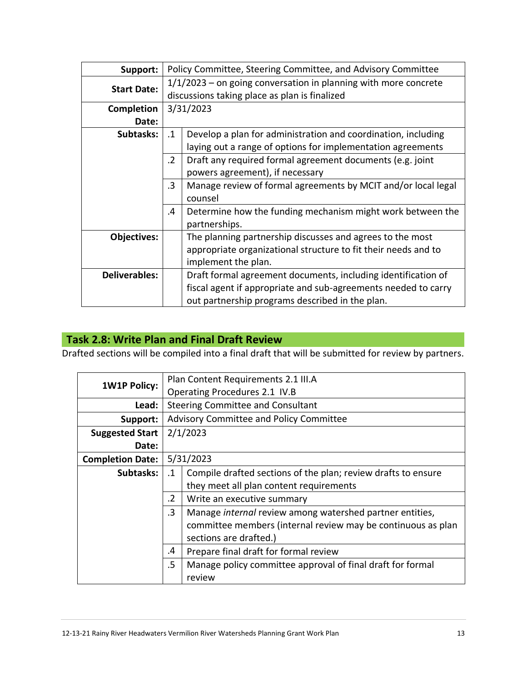| Support:             |            | Policy Committee, Steering Committee, and Advisory Committee      |  |  |
|----------------------|------------|-------------------------------------------------------------------|--|--|
| <b>Start Date:</b>   |            | $1/1/2023$ – on going conversation in planning with more concrete |  |  |
|                      |            | discussions taking place as plan is finalized                     |  |  |
| <b>Completion</b>    |            | 3/31/2023                                                         |  |  |
| Date:                |            |                                                                   |  |  |
| Subtasks:            | $\cdot$ 1  | Develop a plan for administration and coordination, including     |  |  |
|                      |            | laying out a range of options for implementation agreements       |  |  |
|                      | $\cdot$ .2 | Draft any required formal agreement documents (e.g. joint         |  |  |
|                      |            | powers agreement), if necessary                                   |  |  |
|                      | $\cdot$ 3  | Manage review of formal agreements by MCIT and/or local legal     |  |  |
|                      |            | counsel                                                           |  |  |
|                      | .4         | Determine how the funding mechanism might work between the        |  |  |
|                      |            | partnerships.                                                     |  |  |
| <b>Objectives:</b>   |            | The planning partnership discusses and agrees to the most         |  |  |
|                      |            | appropriate organizational structure to fit their needs and to    |  |  |
|                      |            | implement the plan.                                               |  |  |
| <b>Deliverables:</b> |            | Draft formal agreement documents, including identification of     |  |  |
|                      |            | fiscal agent if appropriate and sub-agreements needed to carry    |  |  |
|                      |            | out partnership programs described in the plan.                   |  |  |

## **Task 2.8: Write Plan and Final Draft Review**

Drafted sections will be compiled into a final draft that will be submitted for review by partners.

| <b>1W1P Policy:</b>     |                               | Plan Content Requirements 2.1 III.A                           |  |  |
|-------------------------|-------------------------------|---------------------------------------------------------------|--|--|
|                         | Operating Procedures 2.1 IV.B |                                                               |  |  |
| Lead:                   |                               | <b>Steering Committee and Consultant</b>                      |  |  |
| Support:                |                               | Advisory Committee and Policy Committee                       |  |  |
| <b>Suggested Start</b>  |                               | 2/1/2023                                                      |  |  |
| Date:                   |                               |                                                               |  |  |
| <b>Completion Date:</b> | 5/31/2023                     |                                                               |  |  |
| Subtasks:               | $\cdot$ 1                     | Compile drafted sections of the plan; review drafts to ensure |  |  |
|                         |                               | they meet all plan content requirements                       |  |  |
|                         | $\cdot$ .2                    | Write an executive summary                                    |  |  |
|                         | $\cdot$ 3                     | Manage internal review among watershed partner entities,      |  |  |
|                         |                               | committee members (internal review may be continuous as plan  |  |  |
|                         |                               | sections are drafted.)                                        |  |  |
|                         | .4                            | Prepare final draft for formal review                         |  |  |
|                         | .5                            | Manage policy committee approval of final draft for formal    |  |  |
|                         |                               | review                                                        |  |  |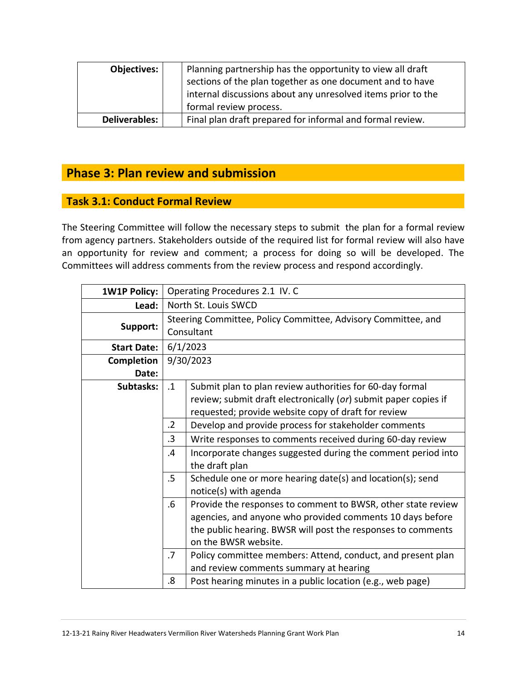| Objectives:   | Planning partnership has the opportunity to view all draft<br>sections of the plan together as one document and to have |
|---------------|-------------------------------------------------------------------------------------------------------------------------|
|               | internal discussions about any unresolved items prior to the<br>formal review process.                                  |
| Deliverables: | Final plan draft prepared for informal and formal review.                                                               |

## **Phase 3: Plan review and submission**

## **Task 3.1: Conduct Formal Review**

The Steering Committee will follow the necessary steps to submit the plan for a formal review from agency partners. Stakeholders outside of the required list for formal review will also have an opportunity for review and comment; a process for doing so will be developed. The Committees will address comments from the review process and respond accordingly.

| <b>1W1P Policy:</b> |                | Operating Procedures 2.1 IV. C                                                                                                                                                                                    |  |  |
|---------------------|----------------|-------------------------------------------------------------------------------------------------------------------------------------------------------------------------------------------------------------------|--|--|
| Lead:               |                | North St. Louis SWCD                                                                                                                                                                                              |  |  |
| Support:            |                | Steering Committee, Policy Committee, Advisory Committee, and<br>Consultant                                                                                                                                       |  |  |
| <b>Start Date:</b>  |                | 6/1/2023                                                                                                                                                                                                          |  |  |
| <b>Completion</b>   |                | 9/30/2023                                                                                                                                                                                                         |  |  |
| Date:               |                |                                                                                                                                                                                                                   |  |  |
| Subtasks:           | $\cdot$ 1      | Submit plan to plan review authorities for 60-day formal                                                                                                                                                          |  |  |
|                     |                | review; submit draft electronically (or) submit paper copies if                                                                                                                                                   |  |  |
|                     |                | requested; provide website copy of draft for review                                                                                                                                                               |  |  |
|                     | $\cdot$ .2     | Develop and provide process for stakeholder comments                                                                                                                                                              |  |  |
|                     | $\cdot$ 3      | Write responses to comments received during 60-day review                                                                                                                                                         |  |  |
|                     | $\overline{A}$ | Incorporate changes suggested during the comment period into<br>the draft plan                                                                                                                                    |  |  |
|                     | .5             | Schedule one or more hearing date(s) and location(s); send<br>notice(s) with agenda                                                                                                                               |  |  |
|                     | $.6\,$         | Provide the responses to comment to BWSR, other state review<br>agencies, and anyone who provided comments 10 days before<br>the public hearing. BWSR will post the responses to comments<br>on the BWSR website. |  |  |
|                     | .7             | Policy committee members: Attend, conduct, and present plan<br>and review comments summary at hearing                                                                                                             |  |  |
|                     | 8.             | Post hearing minutes in a public location (e.g., web page)                                                                                                                                                        |  |  |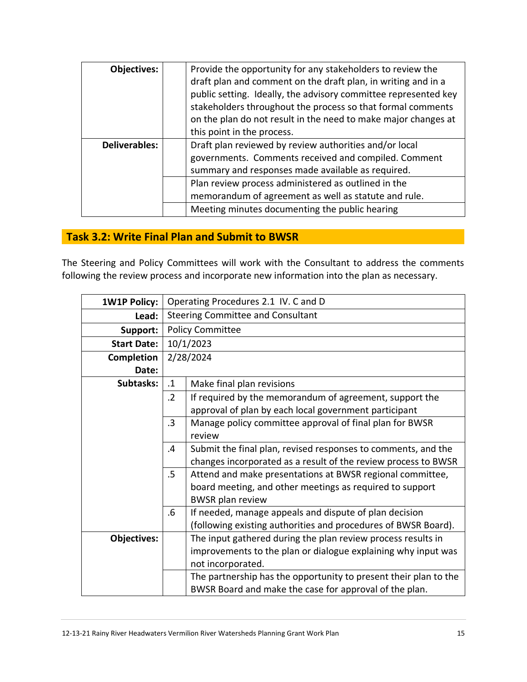| <b>Objectives:</b>   | Provide the opportunity for any stakeholders to review the      |
|----------------------|-----------------------------------------------------------------|
|                      | draft plan and comment on the draft plan, in writing and in a   |
|                      | public setting. Ideally, the advisory committee represented key |
|                      | stakeholders throughout the process so that formal comments     |
|                      | on the plan do not result in the need to make major changes at  |
|                      | this point in the process.                                      |
| <b>Deliverables:</b> | Draft plan reviewed by review authorities and/or local          |
|                      | governments. Comments received and compiled. Comment            |
|                      | summary and responses made available as required.               |
|                      | Plan review process administered as outlined in the             |
|                      | memorandum of agreement as well as statute and rule.            |
|                      | Meeting minutes documenting the public hearing                  |

#### **Task 3.2: Write Final Plan and Submit to BWSR**

The Steering and Policy Committees will work with the Consultant to address the comments following the review process and incorporate new information into the plan as necessary.

| <b>1W1P Policy:</b> |            | Operating Procedures 2.1 IV. C and D                             |  |  |
|---------------------|------------|------------------------------------------------------------------|--|--|
|                     |            |                                                                  |  |  |
| Lead:               |            | Steering Committee and Consultant                                |  |  |
| Support:            |            | <b>Policy Committee</b>                                          |  |  |
| <b>Start Date:</b>  |            | 10/1/2023                                                        |  |  |
| <b>Completion</b>   |            | 2/28/2024                                                        |  |  |
| Date:               |            |                                                                  |  |  |
| Subtasks:           | $\cdot$ 1  | Make final plan revisions                                        |  |  |
|                     | $\cdot$ .2 | If required by the memorandum of agreement, support the          |  |  |
|                     |            | approval of plan by each local government participant            |  |  |
|                     | $\cdot$ 3  | Manage policy committee approval of final plan for BWSR          |  |  |
|                     |            | review                                                           |  |  |
|                     | .4         | Submit the final plan, revised responses to comments, and the    |  |  |
|                     |            | changes incorporated as a result of the review process to BWSR   |  |  |
|                     | $.5\,$     | Attend and make presentations at BWSR regional committee,        |  |  |
|                     |            | board meeting, and other meetings as required to support         |  |  |
|                     |            | <b>BWSR</b> plan review                                          |  |  |
|                     | $.6\,$     | If needed, manage appeals and dispute of plan decision           |  |  |
|                     |            | (following existing authorities and procedures of BWSR Board).   |  |  |
| <b>Objectives:</b>  |            | The input gathered during the plan review process results in     |  |  |
|                     |            | improvements to the plan or dialogue explaining why input was    |  |  |
|                     |            | not incorporated.                                                |  |  |
|                     |            | The partnership has the opportunity to present their plan to the |  |  |
|                     |            | BWSR Board and make the case for approval of the plan.           |  |  |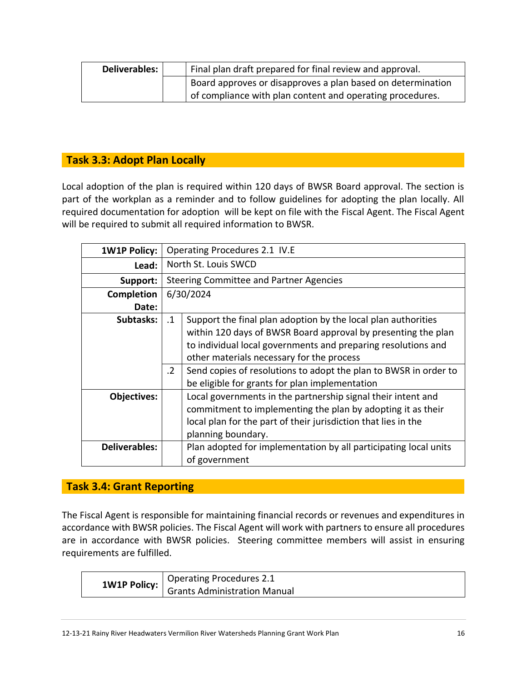| Deliverables: I | Final plan draft prepared for final review and approval.    |
|-----------------|-------------------------------------------------------------|
|                 | Board approves or disapproves a plan based on determination |
|                 | of compliance with plan content and operating procedures.   |

#### **Task 3.3: Adopt Plan Locally**

Local adoption of the plan is required within 120 days of BWSR Board approval. The section is part of the workplan as a reminder and to follow guidelines for adopting the plan locally. All required documentation for adoption will be kept on file with the Fiscal Agent. The Fiscal Agent will be required to submit all required information to BWSR.

| <b>1W1P Policy:</b>  | Operating Procedures 2.1 IV.E |                                                                  |  |  |
|----------------------|-------------------------------|------------------------------------------------------------------|--|--|
| Lead:                | North St. Louis SWCD          |                                                                  |  |  |
| Support:             |                               | Steering Committee and Partner Agencies                          |  |  |
| Completion           |                               | 6/30/2024                                                        |  |  |
| Date:                |                               |                                                                  |  |  |
| Subtasks:            | $\cdot$ 1                     | Support the final plan adoption by the local plan authorities    |  |  |
|                      |                               | within 120 days of BWSR Board approval by presenting the plan    |  |  |
|                      |                               | to individual local governments and preparing resolutions and    |  |  |
|                      |                               | other materials necessary for the process                        |  |  |
|                      | $\cdot$ 2                     | Send copies of resolutions to adopt the plan to BWSR in order to |  |  |
|                      |                               | be eligible for grants for plan implementation                   |  |  |
| <b>Objectives:</b>   |                               | Local governments in the partnership signal their intent and     |  |  |
|                      |                               | commitment to implementing the plan by adopting it as their      |  |  |
|                      |                               | local plan for the part of their jurisdiction that lies in the   |  |  |
|                      |                               | planning boundary.                                               |  |  |
| <b>Deliverables:</b> |                               | Plan adopted for implementation by all participating local units |  |  |
|                      |                               | of government                                                    |  |  |

#### **Task 3.4: Grant Reporting**

The Fiscal Agent is responsible for maintaining financial records or revenues and expenditures in accordance with BWSR policies. The Fiscal Agent will work with partners to ensure all procedures are in accordance with BWSR policies. Steering committee members will assist in ensuring requirements are fulfilled.

|  | Operating Procedures 2.1                                  |  |
|--|-----------------------------------------------------------|--|
|  | <b>1W1P Policy:</b>   <i>Grants Administration Manual</i> |  |